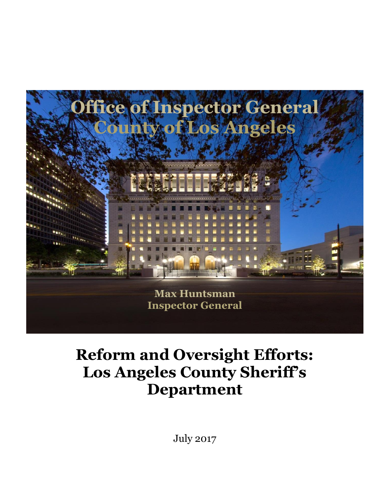

# **Reform and Oversight Efforts: Los Angeles County Sheriff's Department**

July 2017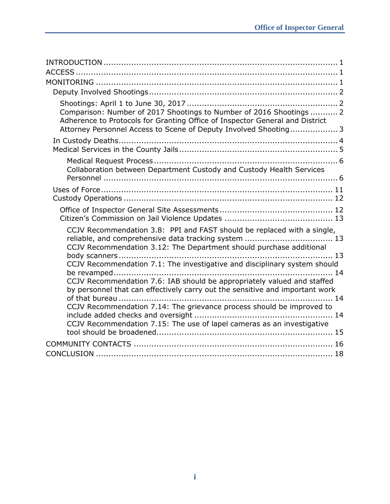| Comparison: Number of 2017 Shootings to Number of 2016 Shootings  2<br>Adherence to Protocols for Granting Office of Inspector General and District<br>Attorney Personnel Access to Scene of Deputy Involved Shooting 3              |
|--------------------------------------------------------------------------------------------------------------------------------------------------------------------------------------------------------------------------------------|
|                                                                                                                                                                                                                                      |
| Collaboration between Department Custody and Custody Health Services                                                                                                                                                                 |
|                                                                                                                                                                                                                                      |
|                                                                                                                                                                                                                                      |
| CCJV Recommendation 3.8: PPI and FAST should be replaced with a single,<br>CCJV Recommendation 3.12: The Department should purchase additional                                                                                       |
|                                                                                                                                                                                                                                      |
| CCJV Recommendation 7.1: The investigative and disciplinary system should<br>CCJV Recommendation 7.6: IAB should be appropriately valued and staffed<br>by personnel that can effectively carry out the sensitive and important work |
| CCJV Recommendation 7.14: The grievance process should be improved to                                                                                                                                                                |
| CCJV Recommendation 7.15: The use of lapel cameras as an investigative                                                                                                                                                               |
|                                                                                                                                                                                                                                      |
|                                                                                                                                                                                                                                      |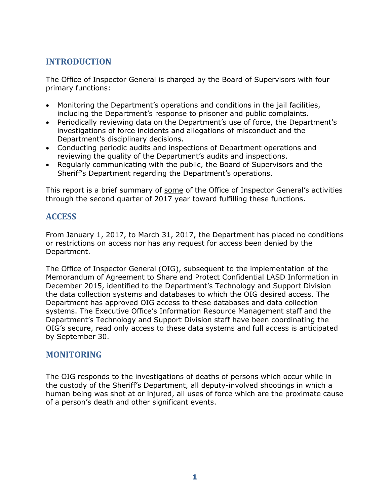# **INTRODUCTION**

The Office of Inspector General is charged by the Board of Supervisors with four primary functions:

- Monitoring the Department's operations and conditions in the jail facilities, including the Department's response to prisoner and public complaints.
- Periodically reviewing data on the Department's use of force, the Department's investigations of force incidents and allegations of misconduct and the Department's disciplinary decisions.
- Conducting periodic audits and inspections of Department operations and reviewing the quality of the Department's audits and inspections.
- Regularly communicating with the public, the Board of Supervisors and the Sheriff's Department regarding the Department's operations.

This report is a brief summary of some of the Office of Inspector General's activities through the second quarter of 2017 year toward fulfilling these functions.

# **ACCESS**

From January 1, 2017, to March 31, 2017, the Department has placed no conditions or restrictions on access nor has any request for access been denied by the Department.

The Office of Inspector General (OIG), subsequent to the implementation of the Memorandum of Agreement to Share and Protect Confidential LASD Information in December 2015, identified to the Department's Technology and Support Division the data collection systems and databases to which the OIG desired access. The Department has approved OIG access to these databases and data collection systems. The Executive Office's Information Resource Management staff and the Department's Technology and Support Division staff have been coordinating the OIG's secure, read only access to these data systems and full access is anticipated by September 30.

# **MONITORING**

The OIG responds to the investigations of deaths of persons which occur while in the custody of the Sheriff's Department, all deputy-involved shootings in which a human being was shot at or injured, all uses of force which are the proximate cause of a person's death and other significant events.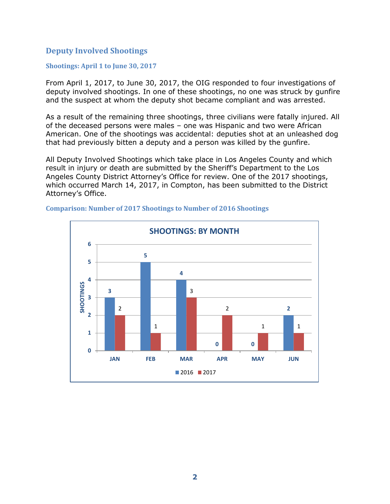## **Deputy Involved Shootings**

## **Shootings: April 1 to June 30, 2017**

From April 1, 2017, to June 30, 2017, the OIG responded to four investigations of deputy involved shootings. In one of these shootings, no one was struck by gunfire and the suspect at whom the deputy shot became compliant and was arrested.

As a result of the remaining three shootings, three civilians were fatally injured. All of the deceased persons were males – one was Hispanic and two were African American. One of the shootings was accidental: deputies shot at an unleashed dog that had previously bitten a deputy and a person was killed by the gunfire.

All Deputy Involved Shootings which take place in Los Angeles County and which result in injury or death are submitted by the Sheriff's Department to the Los Angeles County District Attorney's Office for review. One of the 2017 shootings, which occurred March 14, 2017, in Compton, has been submitted to the District Attorney's Office.



## **Comparison: Number of 2017 Shootings to Number of 2016 Shootings**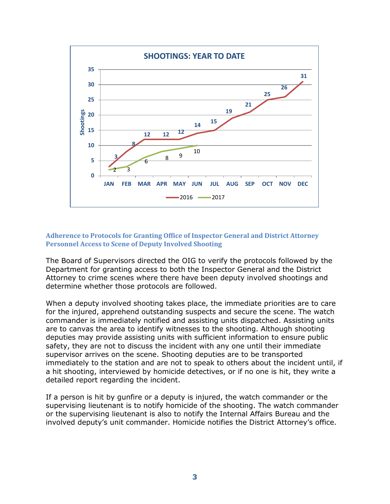

## **Adherence to Protocols for Granting Office of Inspector General and District Attorney Personnel Access to Scene of Deputy Involved Shooting**

The Board of Supervisors directed the OIG to verify the protocols followed by the Department for granting access to both the Inspector General and the District Attorney to crime scenes where there have been deputy involved shootings and determine whether those protocols are followed.

When a deputy involved shooting takes place, the immediate priorities are to care for the injured, apprehend outstanding suspects and secure the scene. The watch commander is immediately notified and assisting units dispatched. Assisting units are to canvas the area to identify witnesses to the shooting. Although shooting deputies may provide assisting units with sufficient information to ensure public safety, they are not to discuss the incident with any one until their immediate supervisor arrives on the scene. Shooting deputies are to be transported immediately to the station and are not to speak to others about the incident until, if a hit shooting, interviewed by homicide detectives, or if no one is hit, they write a detailed report regarding the incident.

If a person is hit by gunfire or a deputy is injured, the watch commander or the supervising lieutenant is to notify homicide of the shooting. The watch commander or the supervising lieutenant is also to notify the Internal Affairs Bureau and the involved deputy's unit commander. Homicide notifies the District Attorney's office.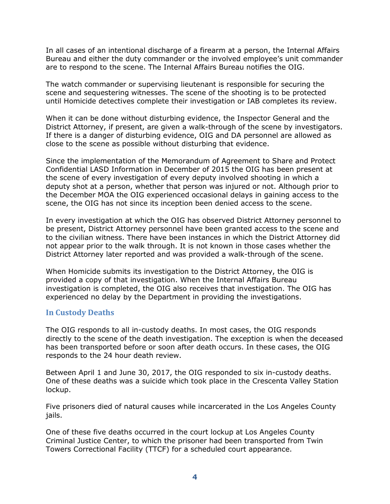In all cases of an intentional discharge of a firearm at a person, the Internal Affairs Bureau and either the duty commander or the involved employee's unit commander are to respond to the scene. The Internal Affairs Bureau notifies the OIG.

The watch commander or supervising lieutenant is responsible for securing the scene and sequestering witnesses. The scene of the shooting is to be protected until Homicide detectives complete their investigation or IAB completes its review.

When it can be done without disturbing evidence, the Inspector General and the District Attorney, if present, are given a walk-through of the scene by investigators. If there is a danger of disturbing evidence, OIG and DA personnel are allowed as close to the scene as possible without disturbing that evidence.

Since the implementation of the Memorandum of Agreement to Share and Protect Confidential LASD Information in December of 2015 the OIG has been present at the scene of every investigation of every deputy involved shooting in which a deputy shot at a person, whether that person was injured or not. Although prior to the December MOA the OIG experienced occasional delays in gaining access to the scene, the OIG has not since its inception been denied access to the scene.

In every investigation at which the OIG has observed District Attorney personnel to be present, District Attorney personnel have been granted access to the scene and to the civilian witness. There have been instances in which the District Attorney did not appear prior to the walk through. It is not known in those cases whether the District Attorney later reported and was provided a walk-through of the scene.

When Homicide submits its investigation to the District Attorney, the OIG is provided a copy of that investigation. When the Internal Affairs Bureau investigation is completed, the OIG also receives that investigation. The OIG has experienced no delay by the Department in providing the investigations.

## **In Custody Deaths**

The OIG responds to all in-custody deaths. In most cases, the OIG responds directly to the scene of the death investigation. The exception is when the deceased has been transported before or soon after death occurs. In these cases, the OIG responds to the 24 hour death review.

Between April 1 and June 30, 2017, the OIG responded to six in-custody deaths. One of these deaths was a suicide which took place in the Crescenta Valley Station lockup.

Five prisoners died of natural causes while incarcerated in the Los Angeles County jails.

One of these five deaths occurred in the court lockup at Los Angeles County Criminal Justice Center, to which the prisoner had been transported from Twin Towers Correctional Facility (TTCF) for a scheduled court appearance.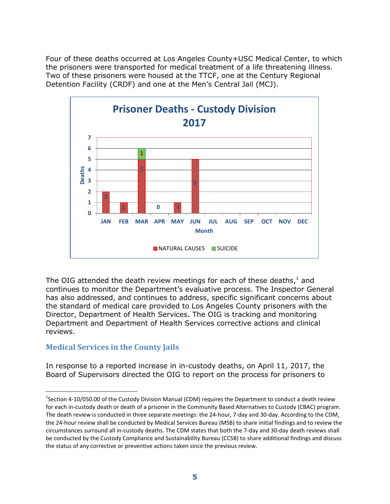Four of these deaths occurred at Los Angeles County+USC Medical Center, to which the prisoners were transported for medical treatment of a life threatening illness. Two of these prisoners were housed at the TTCF, one at the Century Regional Detention Facility (CRDF) and one at the Men's Central Jail (MCJ).



The OIG attended the death review meetings for each of these deaths, $^1$  and continues to monitor the Department's evaluative process. The Inspector General has also addressed, and continues to address, specific significant concerns about the standard of medical care provided to Los Angeles County prisoners with the Director, Department of Health Services. The OIG is tracking and monitoring Department and Department of Health Services corrective actions and clinical reviews.

# **Medical Services in the County Jails**

 $\overline{a}$ 

In response to a reported increase in in-custody deaths, on April 11, 2017, the Board of Supervisors directed the OIG to report on the process for prisoners to

<sup>&</sup>lt;sup>1</sup>Section 4-10/050.00 of the Custody Division Manual (CDM) requires the Department to conduct a death review for each in-custody death or death of a prisoner in the Community Based Alternatives to Custody (CBAC) program. The death review is conducted in three separate meetings: the 24-hour, 7-day and 30-day. According to the CDM, the 24-hour review shall be conducted by Medical Services Bureau (MSB) to share initial findings and to review the circumstances surround all in-custody deaths. The CDM states that both the 7-day and 30-day death reviews shall be conducted by the Custody Compliance and Sustainability Bureau (CCSB) to share additional findings and discuss the status of any corrective or preventive actions taken since the previous review.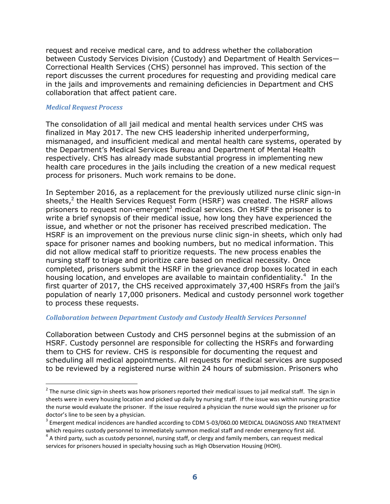request and receive medical care, and to address whether the collaboration between Custody Services Division (Custody) and Department of Health Services— Correctional Health Services (CHS) personnel has improved. This section of the report discusses the current procedures for requesting and providing medical care in the jails and improvements and remaining deficiencies in Department and CHS collaboration that affect patient care.

#### *Medical Request Process*

-

The consolidation of all jail medical and mental health services under CHS was finalized in May 2017. The new CHS leadership inherited underperforming, mismanaged, and insufficient medical and mental health care systems, operated by the Department's Medical Services Bureau and Department of Mental Health respectively. CHS has already made substantial progress in implementing new health care procedures in the jails including the creation of a new medical request process for prisoners. Much work remains to be done.

In September 2016, as a replacement for the previously utilized nurse clinic sign-in sheets,<sup>2</sup> the Health Services Request Form (HSRF) was created. The HSRF allows prisoners to request non-emergent<sup>3</sup> medical services. On HSRF the prisoner is to write a brief synopsis of their medical issue, how long they have experienced the issue, and whether or not the prisoner has received prescribed medication. The HSRF is an improvement on the previous nurse clinic sign-in sheets, which only had space for prisoner names and booking numbers, but no medical information. This did not allow medical staff to prioritize requests. The new process enables the nursing staff to triage and prioritize care based on medical necessity. Once completed, prisoners submit the HSRF in the grievance drop boxes located in each housing location, and envelopes are available to maintain confidentiality.<sup>4</sup> In the first quarter of 2017, the CHS received approximately 37,400 HSRFs from the jail's population of nearly 17,000 prisoners. Medical and custody personnel work together to process these requests.

#### *Collaboration between Department Custody and Custody Health Services Personnel*

Collaboration between Custody and CHS personnel begins at the submission of an HSRF. Custody personnel are responsible for collecting the HSRFs and forwarding them to CHS for review. CHS is responsible for documenting the request and scheduling all medical appointments. All requests for medical services are supposed to be reviewed by a registered nurse within 24 hours of submission. Prisoners who

 $^2$  The nurse clinic sign-in sheets was how prisoners reported their medical issues to jail medical staff. The sign in sheets were in every housing location and picked up daily by nursing staff. If the issue was within nursing practice the nurse would evaluate the prisoner. If the issue required a physician the nurse would sign the prisoner up for doctor's line to be seen by a physician.

 $^3$  Emergent medical incidences are handled according to CDM 5-03/060.00 MEDICAL DIAGNOSIS AND TREATMENT which requires custody personnel to immediately summon medical staff and render emergency first aid.

 $^4$  A third party, such as custody personnel, nursing staff, or clergy and family members, can request medical services for prisoners housed in specialty housing such as High Observation Housing (HOH).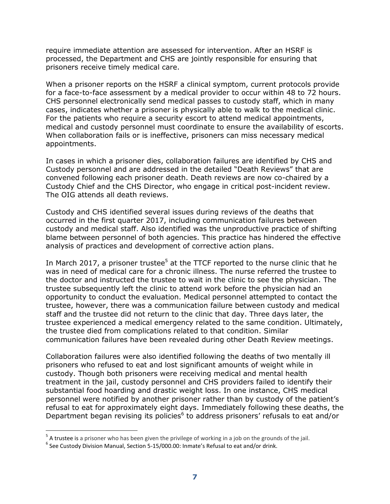require immediate attention are assessed for intervention. After an HSRF is processed, the Department and CHS are jointly responsible for ensuring that prisoners receive timely medical care.

When a prisoner reports on the HSRF a clinical symptom, current protocols provide for a face-to-face assessment by a medical provider to occur within 48 to 72 hours. CHS personnel electronically send medical passes to custody staff, which in many cases, indicates whether a prisoner is physically able to walk to the medical clinic. For the patients who require a security escort to attend medical appointments, medical and custody personnel must coordinate to ensure the availability of escorts. When collaboration fails or is ineffective, prisoners can miss necessary medical appointments.

In cases in which a prisoner dies, collaboration failures are identified by CHS and Custody personnel and are addressed in the detailed "Death Reviews" that are convened following each prisoner death. Death reviews are now co-chaired by a Custody Chief and the CHS Director, who engage in critical post-incident review. The OIG attends all death reviews.

Custody and CHS identified several issues during reviews of the deaths that occurred in the first quarter 2017, including communication failures between custody and medical staff. Also identified was the unproductive practice of shifting blame between personnel of both agencies. This practice has hindered the effective analysis of practices and development of corrective action plans.

In March 2017, a prisoner trustee<sup>5</sup> at the TTCF reported to the nurse clinic that he was in need of medical care for a chronic illness. The nurse referred the trustee to the doctor and instructed the trustee to wait in the clinic to see the physician. The trustee subsequently left the clinic to attend work before the physician had an opportunity to conduct the evaluation. Medical personnel attempted to contact the trustee, however, there was a communication failure between custody and medical staff and the trustee did not return to the clinic that day. Three days later, the trustee experienced a medical emergency related to the same condition. Ultimately, the trustee died from complications related to that condition. Similar communication failures have been revealed during other Death Review meetings.

Collaboration failures were also identified following the deaths of two mentally ill prisoners who refused to eat and lost significant amounts of weight while in custody. Though both prisoners were receiving medical and mental health treatment in the jail, custody personnel and CHS providers failed to identify their substantial food hoarding and drastic weight loss. In one instance, CHS medical personnel were notified by another prisoner rather than by custody of the patient's refusal to eat for approximately eight days. Immediately following these deaths, the Department began revising its policies<sup>6</sup> to address prisoners' refusals to eat and/or

 $\overline{a}$ 

 $<sup>5</sup>$  A trustee is a prisoner who has been given the privilege of working in a job on the grounds of the jail.</sup>

 $^6$  See Custody Division Manual, Section 5-15/000.00: Inmate's Refusal to eat and/or drink.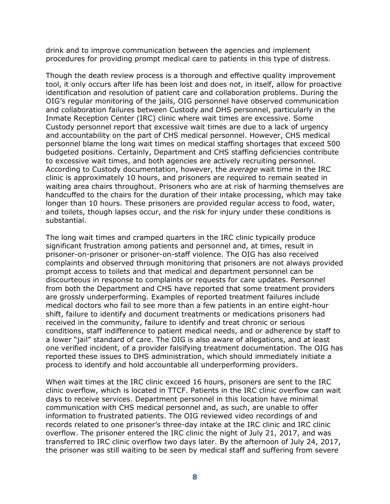drink and to improve communication between the agencies and implement procedures for providing prompt medical care to patients in this type of distress.

Though the death review process is a thorough and effective quality improvement tool, it only occurs after life has been lost and does not, in itself, allow for proactive identification and resolution of patient care and collaboration problems. During the OIG's regular monitoring of the jails, OIG personnel have observed communication and collaboration failures between Custody and DHS personnel, particularly in the Inmate Reception Center (IRC) clinic where wait times are excessive. Some Custody personnel report that excessive wait times are due to a lack of urgency and accountability on the part of CHS medical personnel. However, CHS medical personnel blame the long wait times on medical staffing shortages that exceed 500 budgeted positions. Certainly, Department and CHS staffing deficiencies contribute to excessive wait times, and both agencies are actively recruiting personnel. According to Custody documentation, however, the *average* wait time in the IRC clinic is approximately 10 hours, and prisoners are required to remain seated in waiting area chairs throughout. Prisoners who are at risk of harming themselves are handcuffed to the chairs for the duration of their intake processing, which may take longer than 10 hours. These prisoners are provided regular access to food, water, and toilets, though lapses occur, and the risk for injury under these conditions is substantial.

The long wait times and cramped quarters in the IRC clinic typically produce significant frustration among patients and personnel and, at times, result in prisoner-on-prisoner or prisoner-on-staff violence. The OIG has also received complaints and observed through monitoring that prisoners are not always provided prompt access to toilets and that medical and department personnel can be discourteous in response to complaints or requests for care updates. Personnel from both the Department and CHS have reported that some treatment providers are grossly underperforming. Examples of reported treatment failures include medical doctors who fail to see more than a few patients in an entire eight-hour shift, failure to identify and document treatments or medications prisoners had received in the community, failure to identify and treat chronic or serious conditions, staff indifference to patient medical needs, and or adherence by staff to a lower "jail" standard of care. The OIG is also aware of allegations, and at least one verified incident, of a provider falsifying treatment documentation. The OIG has reported these issues to DHS administration, which should immediately initiate a process to identify and hold accountable all underperforming providers.

When wait times at the IRC clinic exceed 16 hours, prisoners are sent to the IRC clinic overflow, which is located in TTCF. Patients in the IRC clinic overflow can wait days to receive services. Department personnel in this location have minimal communication with CHS medical personnel and, as such, are unable to offer information to frustrated patients. The OIG reviewed video recordings of and records related to one prisoner's three-day intake at the IRC clinic and IRC clinic overflow. The prisoner entered the IRC clinic the night of July 21, 2017, and was transferred to IRC clinic overflow two days later. By the afternoon of July 24, 2017, the prisoner was still waiting to be seen by medical staff and suffering from severe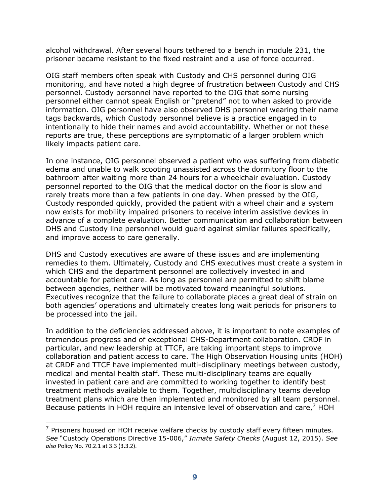alcohol withdrawal. After several hours tethered to a bench in module 231, the prisoner became resistant to the fixed restraint and a use of force occurred.

OIG staff members often speak with Custody and CHS personnel during OIG monitoring, and have noted a high degree of frustration between Custody and CHS personnel. Custody personnel have reported to the OIG that some nursing personnel either cannot speak English or "pretend" not to when asked to provide information. OIG personnel have also observed DHS personnel wearing their name tags backwards, which Custody personnel believe is a practice engaged in to intentionally to hide their names and avoid accountability. Whether or not these reports are true, these perceptions are symptomatic of a larger problem which likely impacts patient care.

In one instance, OIG personnel observed a patient who was suffering from diabetic edema and unable to walk scooting unassisted across the dormitory floor to the bathroom after waiting more than 24 hours for a wheelchair evaluation. Custody personnel reported to the OIG that the medical doctor on the floor is slow and rarely treats more than a few patients in one day. When pressed by the OIG, Custody responded quickly, provided the patient with a wheel chair and a system now exists for mobility impaired prisoners to receive interim assistive devices in advance of a complete evaluation. Better communication and collaboration between DHS and Custody line personnel would guard against similar failures specifically, and improve access to care generally.

DHS and Custody executives are aware of these issues and are implementing remedies to them. Ultimately, Custody and CHS executives must create a system in which CHS and the department personnel are collectively invested in and accountable for patient care. As long as personnel are permitted to shift blame between agencies, neither will be motivated toward meaningful solutions. Executives recognize that the failure to collaborate places a great deal of strain on both agencies' operations and ultimately creates long wait periods for prisoners to be processed into the jail.

In addition to the deficiencies addressed above, it is important to note examples of tremendous progress and of exceptional CHS-Department collaboration. CRDF in particular, and new leadership at TTCF, are taking important steps to improve collaboration and patient access to care. The High Observation Housing units (HOH) at CRDF and TTCF have implemented multi-disciplinary meetings between custody, medical and mental health staff. These multi-disciplinary teams are equally invested in patient care and are committed to working together to identify best treatment methods available to them. Together, multidisciplinary teams develop treatment plans which are then implemented and monitored by all team personnel. Because patients in HOH require an intensive level of observation and care, $7$  HOH

-

 $<sup>7</sup>$  Prisoners housed on HOH receive welfare checks by custody staff every fifteen minutes.</sup> *See* "Custody Operations Directive 15-006," *Inmate Safety Checks* (August 12, 2015). *See also* Policy No. 70.2.1 at 3.3 (3.3.2).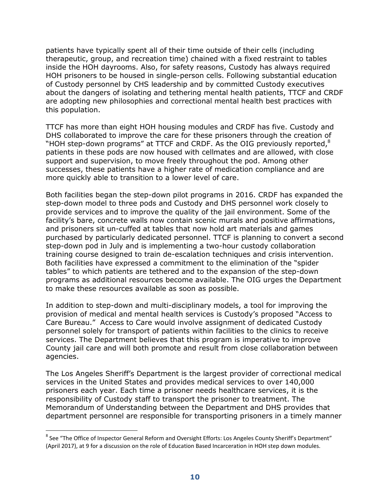patients have typically spent all of their time outside of their cells (including therapeutic, group, and recreation time) chained with a fixed restraint to tables inside the HOH dayrooms. Also, for safety reasons, Custody has always required HOH prisoners to be housed in single-person cells. Following substantial education of Custody personnel by CHS leadership and by committed Custody executives about the dangers of isolating and tethering mental health patients, TTCF and CRDF are adopting new philosophies and correctional mental health best practices with this population.

TTCF has more than eight HOH housing modules and CRDF has five. Custody and DHS collaborated to improve the care for these prisoners through the creation of "HOH step-down programs" at TTCF and CRDF. As the OIG previously reported, $8$ patients in these pods are now housed with cellmates and are allowed, with close support and supervision, to move freely throughout the pod. Among other successes, these patients have a higher rate of medication compliance and are more quickly able to transition to a lower level of care.

Both facilities began the step-down pilot programs in 2016. CRDF has expanded the step-down model to three pods and Custody and DHS personnel work closely to provide services and to improve the quality of the jail environment. Some of the facility's bare, concrete walls now contain scenic murals and positive affirmations, and prisoners sit un-cuffed at tables that now hold art materials and games purchased by particularly dedicated personnel. TTCF is planning to convert a second step-down pod in July and is implementing a two-hour custody collaboration training course designed to train de-escalation techniques and crisis intervention. Both facilities have expressed a commitment to the elimination of the "spider tables" to which patients are tethered and to the expansion of the step-down programs as additional resources become available. The OIG urges the Department to make these resources available as soon as possible.

In addition to step-down and multi-disciplinary models, a tool for improving the provision of medical and mental health services is Custody's proposed "Access to Care Bureau." Access to Care would involve assignment of dedicated Custody personnel solely for transport of patients within facilities to the clinics to receive services. The Department believes that this program is imperative to improve County jail care and will both promote and result from close collaboration between agencies.

The Los Angeles Sheriff's Department is the largest provider of correctional medical services in the United States and provides medical services to over 140,000 prisoners each year. Each time a prisoner needs healthcare services, it is the responsibility of Custody staff to transport the prisoner to treatment. The Memorandum of Understanding between the Department and DHS provides that department personnel are responsible for transporting prisoners in a timely manner

 $\overline{a}$ 

 $^8$  See "The Office of Inspector General Reform and Oversight Efforts: Los Angeles County Sheriff's Department" (April 2017), at 9 for a discussion on the role of Education Based Incarceration in HOH step down modules.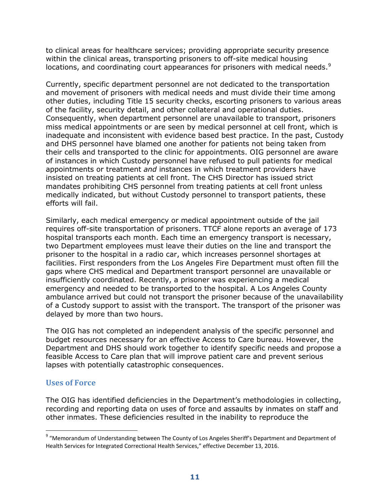to clinical areas for healthcare services; providing appropriate security presence within the clinical areas, transporting prisoners to off-site medical housing locations, and coordinating court appearances for prisoners with medical needs. $9$ 

Currently, specific department personnel are not dedicated to the transportation and movement of prisoners with medical needs and must divide their time among other duties, including Title 15 security checks, escorting prisoners to various areas of the facility, security detail, and other collateral and operational duties. Consequently, when department personnel are unavailable to transport, prisoners miss medical appointments or are seen by medical personnel at cell front, which is inadequate and inconsistent with evidence based best practice. In the past, Custody and DHS personnel have blamed one another for patients not being taken from their cells and transported to the clinic for appointments. OIG personnel are aware of instances in which Custody personnel have refused to pull patients for medical appointments or treatment *and* instances in which treatment providers have insisted on treating patients at cell front. The CHS Director has issued strict mandates prohibiting CHS personnel from treating patients at cell front unless medically indicated, but without Custody personnel to transport patients, these efforts will fail.

Similarly, each medical emergency or medical appointment outside of the jail requires off-site transportation of prisoners. TTCF alone reports an average of 173 hospital transports each month. Each time an emergency transport is necessary, two Department employees must leave their duties on the line and transport the prisoner to the hospital in a radio car, which increases personnel shortages at facilities. First responders from the Los Angeles Fire Department must often fill the gaps where CHS medical and Department transport personnel are unavailable or insufficiently coordinated. Recently, a prisoner was experiencing a medical emergency and needed to be transported to the hospital. A Los Angeles County ambulance arrived but could not transport the prisoner because of the unavailability of a Custody support to assist with the transport. The transport of the prisoner was delayed by more than two hours.

The OIG has not completed an independent analysis of the specific personnel and budget resources necessary for an effective Access to Care bureau. However, the Department and DHS should work together to identify specific needs and propose a feasible Access to Care plan that will improve patient care and prevent serious lapses with potentially catastrophic consequences.

## **Uses of Force**

 $\overline{a}$ 

The OIG has identified deficiencies in the Department's methodologies in collecting, recording and reporting data on uses of force and assaults by inmates on staff and other inmates. These deficiencies resulted in the inability to reproduce the

<sup>&</sup>lt;sup>9</sup> "Memorandum of Understanding between The County of Los Angeles Sheriff's Department and Department of Health Services for Integrated Correctional Health Services," effective December 13, 2016.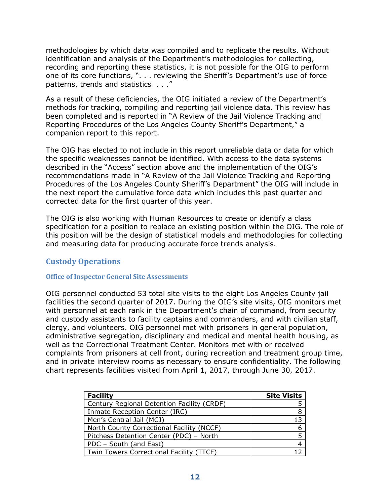methodologies by which data was compiled and to replicate the results. Without identification and analysis of the Department's methodologies for collecting, recording and reporting these statistics, it is not possible for the OIG to perform one of its core functions, ". . . reviewing the Sheriff's Department's use of force patterns, trends and statistics . . ."

As a result of these deficiencies, the OIG initiated a review of the Department's methods for tracking, compiling and reporting jail violence data. This review has been completed and is reported in "A Review of the Jail Violence Tracking and Reporting Procedures of the Los Angeles County Sheriff's Department," a companion report to this report.

The OIG has elected to not include in this report unreliable data or data for which the specific weaknesses cannot be identified. With access to the data systems described in the "Access" section above and the implementation of the OIG's recommendations made in "A Review of the Jail Violence Tracking and Reporting Procedures of the Los Angeles County Sheriff's Department" the OIG will include in the next report the cumulative force data which includes this past quarter and corrected data for the first quarter of this year.

The OIG is also working with Human Resources to create or identify a class specification for a position to replace an existing position within the OIG. The role of this position will be the design of statistical models and methodologies for collecting and measuring data for producing accurate force trends analysis.

## **Custody Operations**

## **Office of Inspector General Site Assessments**

OIG personnel conducted 53 total site visits to the eight Los Angeles County jail facilities the second quarter of 2017. During the OIG's site visits, OIG monitors met with personnel at each rank in the Department's chain of command, from security and custody assistants to facility captains and commanders, and with civilian staff, clergy, and volunteers. OIG personnel met with prisoners in general population, administrative segregation, disciplinary and medical and mental health housing, as well as the Correctional Treatment Center. Monitors met with or received complaints from prisoners at cell front, during recreation and treatment group time, and in private interview rooms as necessary to ensure confidentiality. The following chart represents facilities visited from April 1, 2017, through June 30, 2017.

| <b>Facility</b>                            | <b>Site Visits</b> |
|--------------------------------------------|--------------------|
| Century Regional Detention Facility (CRDF) |                    |
| Inmate Reception Center (IRC)              |                    |
| Men's Central Jail (MCJ)                   | 13                 |
| North County Correctional Facility (NCCF)  |                    |
| Pitchess Detention Center (PDC) - North    |                    |
| PDC - South (and East)                     |                    |
| Twin Towers Correctional Facility (TTCF)   |                    |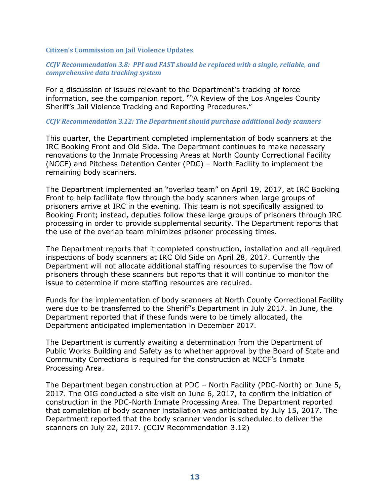#### **Citizen's Commission on Jail Violence Updates**

## *CCJV Recommendation 3.8: PPI and FAST should be replaced with a single, reliable, and comprehensive data tracking system*

For a discussion of issues relevant to the Department's tracking of force information, see the companion report, ""A Review of the Los Angeles County Sheriff's Jail Violence Tracking and Reporting Procedures."

#### *CCJV Recommendation 3.12: The Department should purchase additional body scanners*

This quarter, the Department completed implementation of body scanners at the IRC Booking Front and Old Side. The Department continues to make necessary renovations to the Inmate Processing Areas at North County Correctional Facility (NCCF) and Pitchess Detention Center (PDC) – North Facility to implement the remaining body scanners.

The Department implemented an "overlap team" on April 19, 2017, at IRC Booking Front to help facilitate flow through the body scanners when large groups of prisoners arrive at IRC in the evening. This team is not specifically assigned to Booking Front; instead, deputies follow these large groups of prisoners through IRC processing in order to provide supplemental security. The Department reports that the use of the overlap team minimizes prisoner processing times.

The Department reports that it completed construction, installation and all required inspections of body scanners at IRC Old Side on April 28, 2017. Currently the Department will not allocate additional staffing resources to supervise the flow of prisoners through these scanners but reports that it will continue to monitor the issue to determine if more staffing resources are required.

Funds for the implementation of body scanners at North County Correctional Facility were due to be transferred to the Sheriff's Department in July 2017. In June, the Department reported that if these funds were to be timely allocated, the Department anticipated implementation in December 2017.

The Department is currently awaiting a determination from the Department of Public Works Building and Safety as to whether approval by the Board of State and Community Corrections is required for the construction at NCCF's Inmate Processing Area.

The Department began construction at PDC – North Facility (PDC-North) on June 5, 2017. The OIG conducted a site visit on June 6, 2017, to confirm the initiation of construction in the PDC-North Inmate Processing Area. The Department reported that completion of body scanner installation was anticipated by July 15, 2017. The Department reported that the body scanner vendor is scheduled to deliver the scanners on July 22, 2017. (CCJV Recommendation 3.12)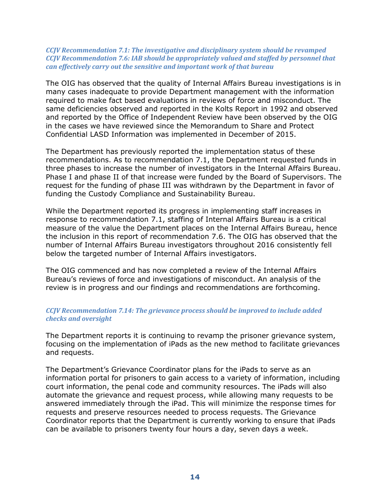## *CCJV Recommendation 7.1: The investigative and disciplinary system should be revamped CCJV Recommendation 7.6: IAB should be appropriately valued and staffed by personnel that can effectively carry out the sensitive and important work of that bureau*

The OIG has observed that the quality of Internal Affairs Bureau investigations is in many cases inadequate to provide Department management with the information required to make fact based evaluations in reviews of force and misconduct. The same deficiencies observed and reported in the Kolts Report in 1992 and observed and reported by the Office of Independent Review have been observed by the OIG in the cases we have reviewed since the Memorandum to Share and Protect Confidential LASD Information was implemented in December of 2015.

The Department has previously reported the implementation status of these recommendations. As to recommendation 7.1, the Department requested funds in three phases to increase the number of investigators in the Internal Affairs Bureau. Phase I and phase II of that increase were funded by the Board of Supervisors. The request for the funding of phase III was withdrawn by the Department in favor of funding the Custody Compliance and Sustainability Bureau.

While the Department reported its progress in implementing staff increases in response to recommendation 7.1, staffing of Internal Affairs Bureau is a critical measure of the value the Department places on the Internal Affairs Bureau, hence the inclusion in this report of recommendation 7.6. The OIG has observed that the number of Internal Affairs Bureau investigators throughout 2016 consistently fell below the targeted number of Internal Affairs investigators.

The OIG commenced and has now completed a review of the Internal Affairs Bureau's reviews of force and investigations of misconduct. An analysis of the review is in progress and our findings and recommendations are forthcoming.

## *CCJV Recommendation 7.14: The grievance process should be improved to include added checks and oversight*

The Department reports it is continuing to revamp the prisoner grievance system, focusing on the implementation of iPads as the new method to facilitate grievances and requests.

The Department's Grievance Coordinator plans for the iPads to serve as an information portal for prisoners to gain access to a variety of information, including court information, the penal code and community resources. The iPads will also automate the grievance and request process, while allowing many requests to be answered immediately through the iPad. This will minimize the response times for requests and preserve resources needed to process requests. The Grievance Coordinator reports that the Department is currently working to ensure that iPads can be available to prisoners twenty four hours a day, seven days a week.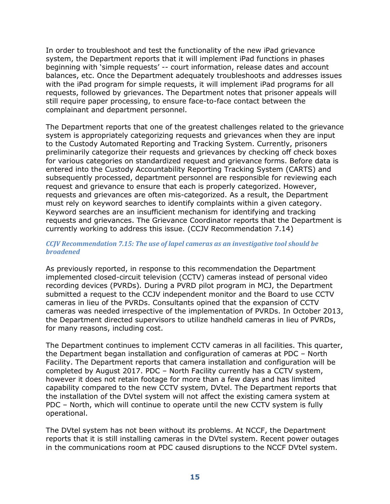In order to troubleshoot and test the functionality of the new iPad grievance system, the Department reports that it will implement iPad functions in phases beginning with 'simple requests' -- court information, release dates and account balances, etc. Once the Department adequately troubleshoots and addresses issues with the iPad program for simple requests, it will implement iPad programs for all requests, followed by grievances. The Department notes that prisoner appeals will still require paper processing, to ensure face-to-face contact between the complainant and department personnel.

The Department reports that one of the greatest challenges related to the grievance system is appropriately categorizing requests and grievances when they are input to the Custody Automated Reporting and Tracking System. Currently, prisoners preliminarily categorize their requests and grievances by checking off check boxes for various categories on standardized request and grievance forms. Before data is entered into the Custody Accountability Reporting Tracking System (CARTS) and subsequently processed, department personnel are responsible for reviewing each request and grievance to ensure that each is properly categorized. However, requests and grievances are often mis-categorized. As a result, the Department must rely on keyword searches to identify complaints within a given category. Keyword searches are an insufficient mechanism for identifying and tracking requests and grievances. The Grievance Coordinator reports that the Department is currently working to address this issue. (CCJV Recommendation 7.14)

## *CCJV Recommendation 7.15: The use of lapel cameras as an investigative tool should be broadened*

As previously reported, in response to this recommendation the Department implemented closed-circuit television (CCTV) cameras instead of personal video recording devices (PVRDs)*.* During a PVRD pilot program in MCJ, the Department submitted a request to the CCJV independent monitor and the Board to use CCTV cameras in lieu of the PVRDs. Consultants opined that the expansion of CCTV cameras was needed irrespective of the implementation of PVRDs. In October 2013, the Department directed supervisors to utilize handheld cameras in lieu of PVRDs, for many reasons, including cost.

The Department continues to implement CCTV cameras in all facilities. This quarter, the Department began installation and configuration of cameras at PDC – North Facility. The Department reports that camera installation and configuration will be completed by August 2017. PDC – North Facility currently has a CCTV system, however it does not retain footage for more than a few days and has limited capability compared to the new CCTV system, DVtel. The Department reports that the installation of the DVtel system will not affect the existing camera system at PDC – North, which will continue to operate until the new CCTV system is fully operational.

The DVtel system has not been without its problems. At NCCF, the Department reports that it is still installing cameras in the DVtel system. Recent power outages in the communications room at PDC caused disruptions to the NCCF DVtel system.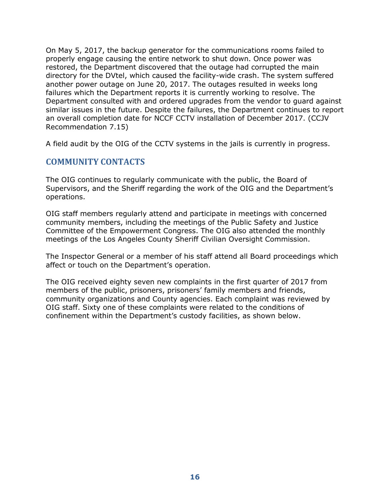On May 5, 2017, the backup generator for the communications rooms failed to properly engage causing the entire network to shut down. Once power was restored, the Department discovered that the outage had corrupted the main directory for the DVtel, which caused the facility-wide crash. The system suffered another power outage on June 20, 2017. The outages resulted in weeks long failures which the Department reports it is currently working to resolve. The Department consulted with and ordered upgrades from the vendor to guard against similar issues in the future. Despite the failures, the Department continues to report an overall completion date for NCCF CCTV installation of December 2017. (CCJV Recommendation 7.15)

A field audit by the OIG of the CCTV systems in the jails is currently in progress.

## **COMMUNITY CONTACTS**

The OIG continues to regularly communicate with the public, the Board of Supervisors, and the Sheriff regarding the work of the OIG and the Department's operations.

OIG staff members regularly attend and participate in meetings with concerned community members, including the meetings of the Public Safety and Justice Committee of the Empowerment Congress. The OIG also attended the monthly meetings of the Los Angeles County Sheriff Civilian Oversight Commission.

The Inspector General or a member of his staff attend all Board proceedings which affect or touch on the Department's operation.

The OIG received eighty seven new complaints in the first quarter of 2017 from members of the public, prisoners, prisoners' family members and friends, community organizations and County agencies. Each complaint was reviewed by OIG staff. Sixty one of these complaints were related to the conditions of confinement within the Department's custody facilities, as shown below.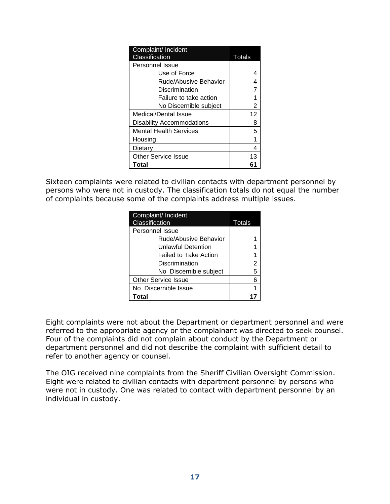| Complaint/ Incident        |        |
|----------------------------|--------|
| Classification             | Totals |
| Personnel Issue            |        |
| Use of Force               |        |
| Rude/Abusive Behavior      |        |
| Discrimination             |        |
| Failure to take action     |        |
| No Discernible subject     | 2      |
| Medical/Dental Issue       | 12     |
| Disability Accommodations  | 8      |
| Mental Health Services     | 5      |
| Housing                    |        |
| Dietary                    | 4      |
| <b>Other Service Issue</b> | 13     |
| Total                      | 61     |

Sixteen complaints were related to civilian contacts with department personnel by persons who were not in custody. The classification totals do not equal the number of complaints because some of the complaints address multiple issues.

| Complaint/ Incident<br>Classification | Totals |
|---------------------------------------|--------|
| Personnel Issue                       |        |
| Rude/Abusive Behavior                 |        |
| Unlawful Detention                    |        |
| <b>Failed to Take Action</b>          |        |
| Discrimination                        | 2      |
| No Discernible subject                | 5      |
| <b>Other Service Issue</b>            | 6      |
| No Discernible Issue                  |        |
| Total                                 |        |

Eight complaints were not about the Department or department personnel and were referred to the appropriate agency or the complainant was directed to seek counsel. Four of the complaints did not complain about conduct by the Department or department personnel and did not describe the complaint with sufficient detail to refer to another agency or counsel.

The OIG received nine complaints from the Sheriff Civilian Oversight Commission. Eight were related to civilian contacts with department personnel by persons who were not in custody. One was related to contact with department personnel by an individual in custody.